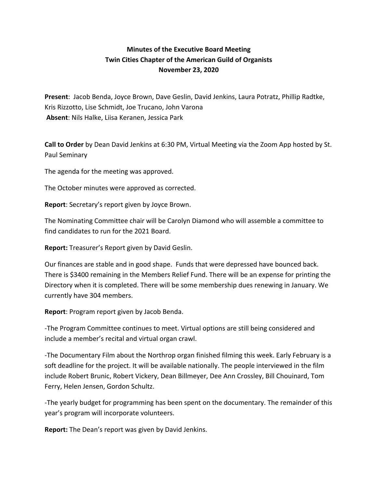## **Minutes of the Executive Board Meeting Twin Cities Chapter of the American Guild of Organists November 23, 2020**

**Present**: Jacob Benda, Joyce Brown, Dave Geslin, David Jenkins, Laura Potratz, Phillip Radtke, Kris Rizzotto, Lise Schmidt, Joe Trucano, John Varona **Absent**: Nils Halke, Liisa Keranen, Jessica Park

**Call to Order** by Dean David Jenkins at 6:30 PM, Virtual Meeting via the Zoom App hosted by St. Paul Seminary

The agenda for the meeting was approved.

The October minutes were approved as corrected.

**Report**: Secretary's report given by Joyce Brown.

The Nominating Committee chair will be Carolyn Diamond who will assemble a committee to find candidates to run for the 2021 Board.

**Report:** Treasurer's Report given by David Geslin.

Our finances are stable and in good shape. Funds that were depressed have bounced back. There is \$3400 remaining in the Members Relief Fund. There will be an expense for printing the Directory when it is completed. There will be some membership dues renewing in January. We currently have 304 members.

**Report**: Program report given by Jacob Benda.

-The Program Committee continues to meet. Virtual options are still being considered and include a member's recital and virtual organ crawl.

-The Documentary Film about the Northrop organ finished filming this week. Early February is a soft deadline for the project. It will be available nationally. The people interviewed in the film include Robert Brunic, Robert Vickery, Dean Billmeyer, Dee Ann Crossley, Bill Chouinard, Tom Ferry, Helen Jensen, Gordon Schultz.

-The yearly budget for programming has been spent on the documentary. The remainder of this year's program will incorporate volunteers.

**Report:** The Dean's report was given by David Jenkins.